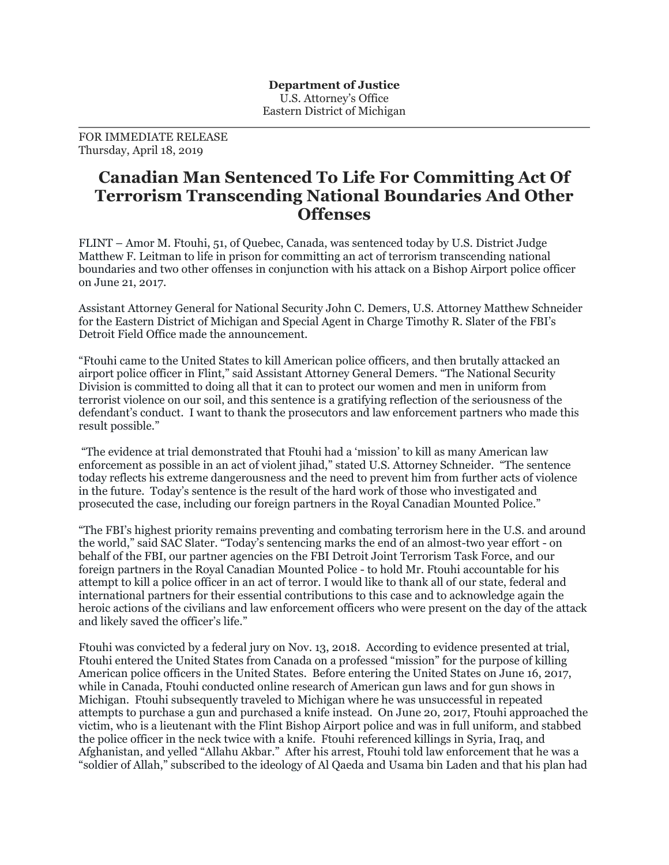FOR IMMEDIATE RELEASE Thursday, April 18, 2019

## **Canadian Man Sentenced To Life For Committing Act Of Terrorism Transcending National Boundaries And Other Offenses**

FLINT – Amor M. Ftouhi, 51, of Quebec, Canada, was sentenced today by U.S. District Judge Matthew F. Leitman to life in prison for committing an act of terrorism transcending national boundaries and two other offenses in conjunction with his attack on a Bishop Airport police officer on June 21, 2017.

Assistant Attorney General for National Security John C. Demers, U.S. Attorney Matthew Schneider for the Eastern District of Michigan and Special Agent in Charge Timothy R. Slater of the FBI's Detroit Field Office made the announcement.

"Ftouhi came to the United States to kill American police officers, and then brutally attacked an airport police officer in Flint," said Assistant Attorney General Demers. "The National Security Division is committed to doing all that it can to protect our women and men in uniform from terrorist violence on our soil, and this sentence is a gratifying reflection of the seriousness of the defendant's conduct. I want to thank the prosecutors and law enforcement partners who made this result possible."

"The evidence at trial demonstrated that Ftouhi had a 'mission' to kill as many American law enforcement as possible in an act of violent jihad," stated U.S. Attorney Schneider. "The sentence today reflects his extreme dangerousness and the need to prevent him from further acts of violence in the future. Today's sentence is the result of the hard work of those who investigated and prosecuted the case, including our foreign partners in the Royal Canadian Mounted Police."

"The FBI's highest priority remains preventing and combating terrorism here in the U.S. and around the world," said SAC Slater. "Today's sentencing marks the end of an almost-two year effort - on behalf of the FBI, our partner agencies on the FBI Detroit Joint Terrorism Task Force, and our foreign partners in the Royal Canadian Mounted Police - to hold Mr. Ftouhi accountable for his attempt to kill a police officer in an act of terror. I would like to thank all of our state, federal and international partners for their essential contributions to this case and to acknowledge again the heroic actions of the civilians and law enforcement officers who were present on the day of the attack and likely saved the officer's life."

Ftouhi was convicted by a federal jury on Nov. 13, 2018. According to evidence presented at trial, Ftouhi entered the United States from Canada on a professed "mission" for the purpose of killing American police officers in the United States. Before entering the United States on June 16, 2017, while in Canada, Ftouhi conducted online research of American gun laws and for gun shows in Michigan. Ftouhi subsequently traveled to Michigan where he was unsuccessful in repeated attempts to purchase a gun and purchased a knife instead. On June 20, 2017, Ftouhi approached the victim, who is a lieutenant with the Flint Bishop Airport police and was in full uniform, and stabbed the police officer in the neck twice with a knife. Ftouhi referenced killings in Syria, Iraq, and Afghanistan, and yelled "Allahu Akbar." After his arrest, Ftouhi told law enforcement that he was a "soldier of Allah," subscribed to the ideology of Al Qaeda and Usama bin Laden and that his plan had